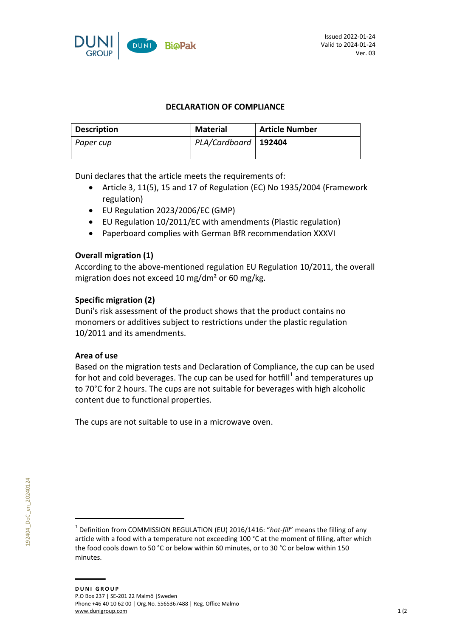

## **DECLARATION OF COMPLIANCE**

| Description | Material               | <b>Article Number</b> |
|-------------|------------------------|-----------------------|
| Paper cup   | PLA/Cardboard   192404 |                       |
|             |                        |                       |

Duni declares that the article meets the requirements of:

- Article 3, 11(5), 15 and 17 of Regulation (EC) No 1935/2004 (Framework regulation)
- EU Regulation 2023/2006/EC (GMP)
- EU Regulation 10/2011/EC with amendments (Plastic regulation)
- Paperboard complies with German BfR recommendation XXXVI

## **Overall migration (1)**

According to the above-mentioned regulation EU Regulation 10/2011, the overall migration does not exceed 10 mg/dm² or 60 mg/kg.

## **Specific migration (2)**

Duni's risk assessment of the product shows that the product contains no monomers or additives subject to restrictions under the plastic regulation 10/2011 and its amendments.

### **Area of use**

Based on the migration tests and Declaration of Compliance, the cup can be used for hot and cold beverages. The cup can be used for hotfill<sup>1</sup> and temperatures up to 70°C for 2 hours. The cups are not suitable for beverages with high alcoholic content due to functional properties.

The cups are not suitable to use in a microwave oven.

<sup>&</sup>lt;sup>1</sup> Definition from COMMISSION REGULATION (EU) 2016/1416: "hot-fill" means the filling of any article with a food with a temperature not exceeding 100 °C at the moment of filling, after which the food cools down to 50 °C or below within 60 minutes, or to 30 °C or below within 150 minutes.